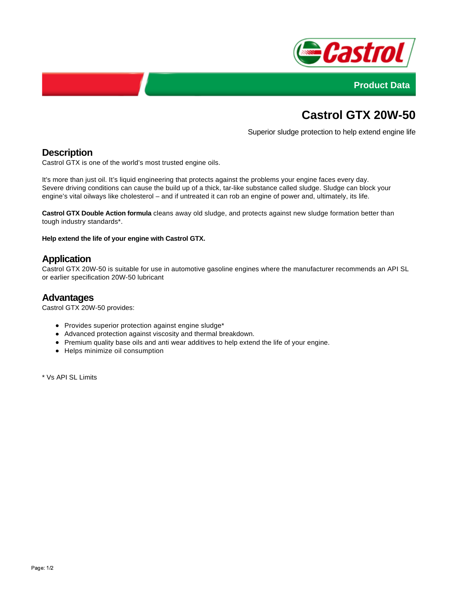



# **Castrol GTX 20W-50**

Superior sludge protection to help extend engine life

# **Description**

Castrol GTX is one of the world's most trusted engine oils.

It's more than just oil. It's liquid engineering that protects against the problems your engine faces every day. Severe driving conditions can cause the build up of a thick, tar-like substance called sludge. Sludge can block your engine's vital oilways like cholesterol – and if untreated it can rob an engine of power and, ultimately, its life.

**Castrol GTX Double Action formula** cleans away old sludge, and protects against new sludge formation better than tough industry standards\*.

**Help extend the life of your engine with Castrol GTX.**

## **Application**

Castrol GTX 20W-50 is suitable for use in automotive gasoline engines where the manufacturer recommends an API SL or earlier specification 20W-50 lubricant

#### **Advantages**

Castrol GTX 20W-50 provides:

- Provides superior protection against engine sludge\*
- Advanced protection against viscosity and thermal breakdown.
- Premium quality base oils and anti wear additives to help extend the life of your engine.
- Helps minimize oil consumption

\* Vs API SL Limits